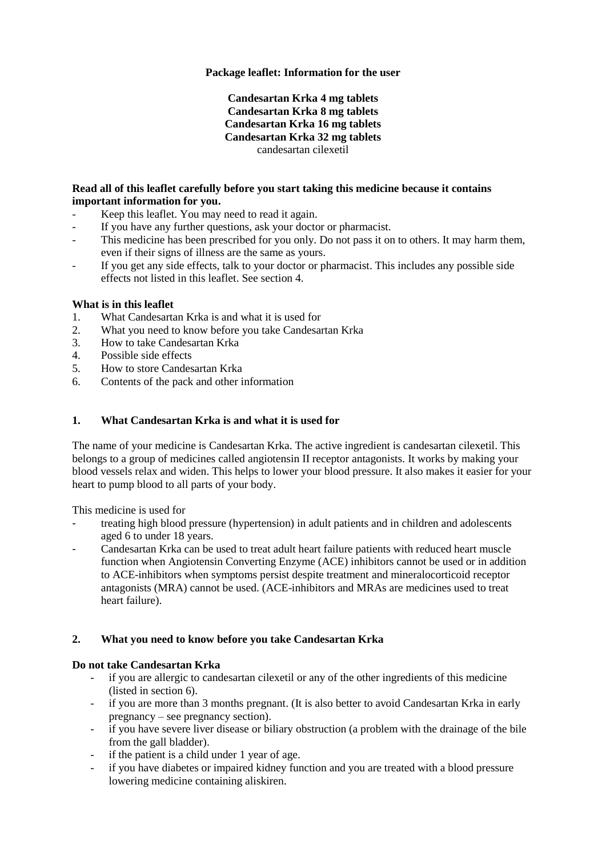# **Package leaflet: Information for the user**

### **Candesartan Krka 4 mg tablets Candesartan Krka 8 mg tablets Candesartan Krka 16 mg tablets Candesartan Krka 32 mg tablets** candesartan cilexetil

# **Read all of this leaflet carefully before you start taking this medicine because it contains important information for you.**

- Keep this leaflet. You may need to read it again.
- If you have any further questions, ask your doctor or pharmacist.
- This medicine has been prescribed for you only. Do not pass it on to others. It may harm them, even if their signs of illness are the same as yours.
- If you get any side effects, talk to your doctor or pharmacist. This includes any possible side effects not listed in this leaflet. See section 4.

### **What is in this leaflet**

- 1. What Candesartan Krka is and what it is used for<br>2. What you need to know before you take Candesa
- What you need to know before you take Candesartan Krka
- 3. How to take Candesartan Krka
- 4. Possible side effects
- 5. How to store Candesartan Krka
- 6. Contents of the pack and other information

# **1. What Candesartan Krka is and what it is used for**

The name of your medicine is Candesartan Krka. The active ingredient is candesartan cilexetil. This belongs to a group of medicines called angiotensin II receptor antagonists. It works by making your blood vessels relax and widen. This helps to lower your blood pressure. It also makes it easier for your heart to pump blood to all parts of your body.

This medicine is used for

- treating high blood pressure (hypertension) in adult patients and in children and adolescents aged 6 to under 18 years.
- Candesartan Krka can be used to treat adult heart failure patients with reduced heart muscle function when Angiotensin Converting Enzyme (ACE) inhibitors cannot be used or in addition to ACE-inhibitors when symptoms persist despite treatment and mineralocorticoid receptor antagonists (MRA) cannot be used. (ACE-inhibitors and MRAs are medicines used to treat heart failure).

### **2. What you need to know before you take Candesartan Krka**

### **Do not take Candesartan Krka**

- if you are allergic to candesartan cilexetil or any of the other ingredients of this medicine (listed in section 6).
- if you are more than 3 months pregnant. (It is also better to avoid Candesartan Krka in early pregnancy – see pregnancy section).
- if you have severe liver disease or biliary obstruction (a problem with the drainage of the bile from the gall bladder).
- if the patient is a child under 1 year of age.
- if you have diabetes or impaired kidney function and you are treated with a blood pressure lowering medicine containing aliskiren.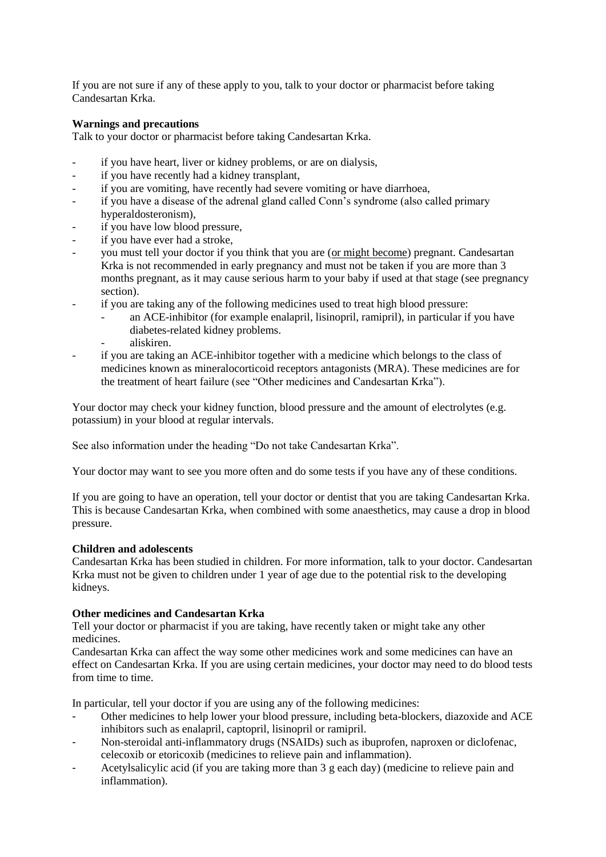If you are not sure if any of these apply to you, talk to your doctor or pharmacist before taking Candesartan Krka.

### **Warnings and precautions**

Talk to your doctor or pharmacist before taking Candesartan Krka.

- if you have heart, liver or kidney problems, or are on dialysis,
- if you have recently had a kidney transplant,
- if you are vomiting, have recently had severe vomiting or have diarrhoea,
- if you have a disease of the adrenal gland called Conn's syndrome (also called primary hyperaldosteronism),
- if you have low blood pressure,
- if you have ever had a stroke,
- you must tell your doctor if you think that you are (or might become) pregnant. Candesartan Krka is not recommended in early pregnancy and must not be taken if you are more than 3 months pregnant, as it may cause serious harm to your baby if used at that stage (see pregnancy section).
- if you are taking any of the following medicines used to treat high blood pressure:
	- an ACE-inhibitor (for example enalapril, lisinopril, ramipril), in particular if you have diabetes-related kidney problems.
	- aliskiren.
- if you are taking an ACE-inhibitor together with a medicine which belongs to the class of medicines known as mineralocorticoid receptors antagonists (MRA). These medicines are for the treatment of heart failure (see "Other medicines and Candesartan Krka").

Your doctor may check your kidney function, blood pressure and the amount of electrolytes (e.g. potassium) in your blood at regular intervals.

See also information under the heading "Do not take Candesartan Krka".

Your doctor may want to see you more often and do some tests if you have any of these conditions.

If you are going to have an operation, tell your doctor or dentist that you are taking Candesartan Krka. This is because Candesartan Krka, when combined with some anaesthetics, may cause a drop in blood pressure.

### **Children and adolescents**

Candesartan Krka has been studied in children. For more information, talk to your doctor. Candesartan Krka must not be given to children under 1 year of age due to the potential risk to the developing kidneys.

### **Other medicines and Candesartan Krka**

Tell your doctor or pharmacist if you are taking, have recently taken or might take any other medicines.

Candesartan Krka can affect the way some other medicines work and some medicines can have an effect on Candesartan Krka. If you are using certain medicines, your doctor may need to do blood tests from time to time.

In particular, tell your doctor if you are using any of the following medicines:

- Other medicines to help lower your blood pressure, including beta-blockers, diazoxide and ACE inhibitors such as enalapril, captopril, lisinopril or ramipril.
- Non-steroidal anti-inflammatory drugs (NSAIDs) such as ibuprofen, naproxen or diclofenac, celecoxib or etoricoxib (medicines to relieve pain and inflammation).
- Acetylsalicylic acid (if you are taking more than 3 g each day) (medicine to relieve pain and inflammation).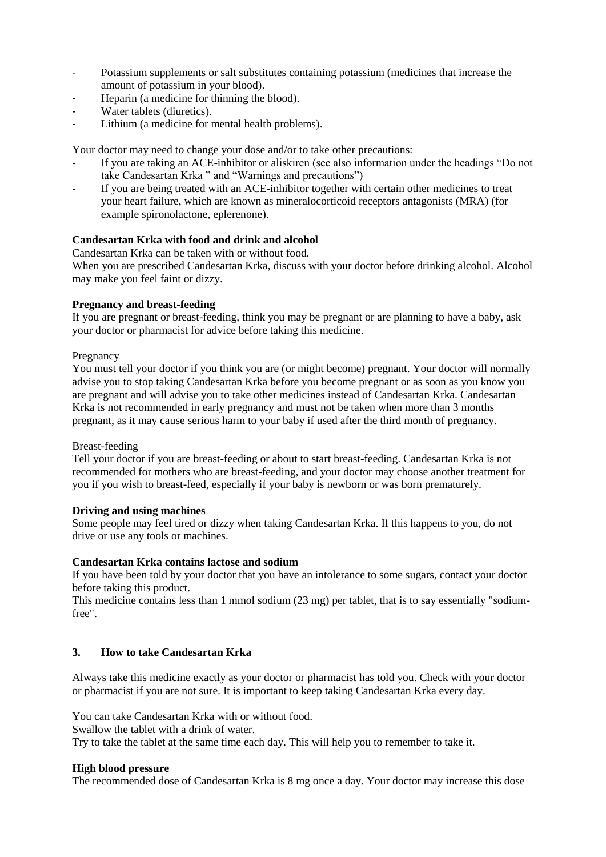- Potassium supplements or salt substitutes containing potassium (medicines that increase the amount of potassium in your blood).
- Heparin (a medicine for thinning the blood).
- Water tablets (diuretics).
- Lithium (a medicine for mental health problems).

Your doctor may need to change your dose and/or to take other precautions:

- If you are taking an ACE-inhibitor or aliskiren (see also information under the headings "Do not take Candesartan Krka " and "Warnings and precautions")
- If you are being treated with an ACE-inhibitor together with certain other medicines to treat your heart failure, which are known as mineralocorticoid receptors antagonists (MRA) (for example spironolactone, eplerenone).

# **Candesartan Krka with food and drink and alcohol**

Candesartan Krka can be taken with or without food.

When you are prescribed Candesartan Krka, discuss with your doctor before drinking alcohol. Alcohol may make you feel faint or dizzy.

### **Pregnancy and breast-feeding**

If you are pregnant or breast-feeding, think you may be pregnant or are planning to have a baby, ask your doctor or pharmacist for advice before taking this medicine.

#### Pregnancy

You must tell your doctor if you think you are (or might become) pregnant. Your doctor will normally advise you to stop taking Candesartan Krka before you become pregnant or as soon as you know you are pregnant and will advise you to take other medicines instead of Candesartan Krka. Candesartan Krka is not recommended in early pregnancy and must not be taken when more than 3 months pregnant, as it may cause serious harm to your baby if used after the third month of pregnancy.

### Breast-feeding

Tell your doctor if you are breast-feeding or about to start breast-feeding. Candesartan Krka is not recommended for mothers who are breast-feeding, and your doctor may choose another treatment for you if you wish to breast-feed, especially if your baby is newborn or was born prematurely.

### **Driving and using machines**

Some people may feel tired or dizzy when taking Candesartan Krka. If this happens to you, do not drive or use any tools or machines.

### **Candesartan Krka contains lactose and sodium**

If you have been told by your doctor that you have an intolerance to some sugars, contact your doctor before taking this product.

This medicine contains less than 1 mmol sodium (23 mg) per tablet, that is to say essentially "sodiumfree".

### **3. How to take Candesartan Krka**

Always take this medicine exactly as your doctor or pharmacist has told you. Check with your doctor or pharmacist if you are not sure. It is important to keep taking Candesartan Krka every day.

You can take Candesartan Krka with or without food.

Swallow the tablet with a drink of water.

Try to take the tablet at the same time each day. This will help you to remember to take it.

### **High blood pressure**

The recommended dose of Candesartan Krka is 8 mg once a day. Your doctor may increase this dose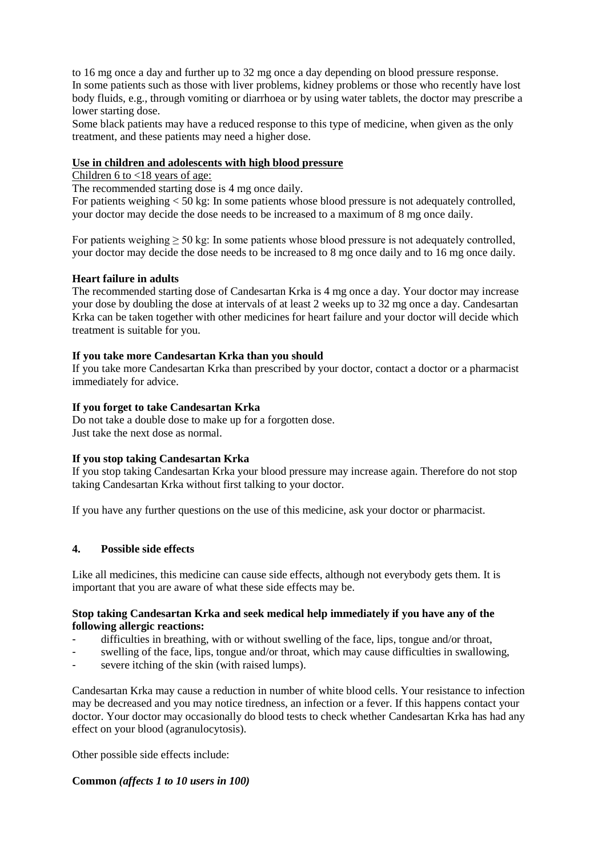to 16 mg once a day and further up to 32 mg once a day depending on blood pressure response. In some patients such as those with liver problems, kidney problems or those who recently have lost body fluids, e.g., through vomiting or diarrhoea or by using water tablets, the doctor may prescribe a lower starting dose.

Some black patients may have a reduced response to this type of medicine, when given as the only treatment, and these patients may need a higher dose.

### **Use in children and adolescents with high blood pressure**

Children 6 to <18 years of age:

The recommended starting dose is 4 mg once daily.

For patients weighing < 50 kg: In some patients whose blood pressure is not adequately controlled, your doctor may decide the dose needs to be increased to a maximum of 8 mg once daily.

For patients weighing  $\geq 50$  kg: In some patients whose blood pressure is not adequately controlled, your doctor may decide the dose needs to be increased to 8 mg once daily and to 16 mg once daily.

# **Heart failure in adults**

The recommended starting dose of Candesartan Krka is 4 mg once a day. Your doctor may increase your dose by doubling the dose at intervals of at least 2 weeks up to 32 mg once a day. Candesartan Krka can be taken together with other medicines for heart failure and your doctor will decide which treatment is suitable for you.

### **If you take more Candesartan Krka than you should**

If you take more Candesartan Krka than prescribed by your doctor, contact a doctor or a pharmacist immediately for advice.

# **If you forget to take Candesartan Krka**

Do not take a double dose to make up for a forgotten dose. Just take the next dose as normal.

### **If you stop taking Candesartan Krka**

If you stop taking Candesartan Krka your blood pressure may increase again. Therefore do not stop taking Candesartan Krka without first talking to your doctor.

If you have any further questions on the use of this medicine, ask your doctor or pharmacist.

### **4. Possible side effects**

Like all medicines, this medicine can cause side effects, although not everybody gets them. It is important that you are aware of what these side effects may be.

### **Stop taking Candesartan Krka and seek medical help immediately if you have any of the following allergic reactions:**

- difficulties in breathing, with or without swelling of the face, lips, tongue and/or throat,
- swelling of the face, lips, tongue and/or throat, which may cause difficulties in swallowing,
- severe itching of the skin (with raised lumps).

Candesartan Krka may cause a reduction in number of white blood cells. Your resistance to infection may be decreased and you may notice tiredness, an infection or a fever. If this happens contact your doctor. Your doctor may occasionally do blood tests to check whether Candesartan Krka has had any effect on your blood (agranulocytosis).

Other possible side effects include:

# **Common** *(affects 1 to 10 users in 100)*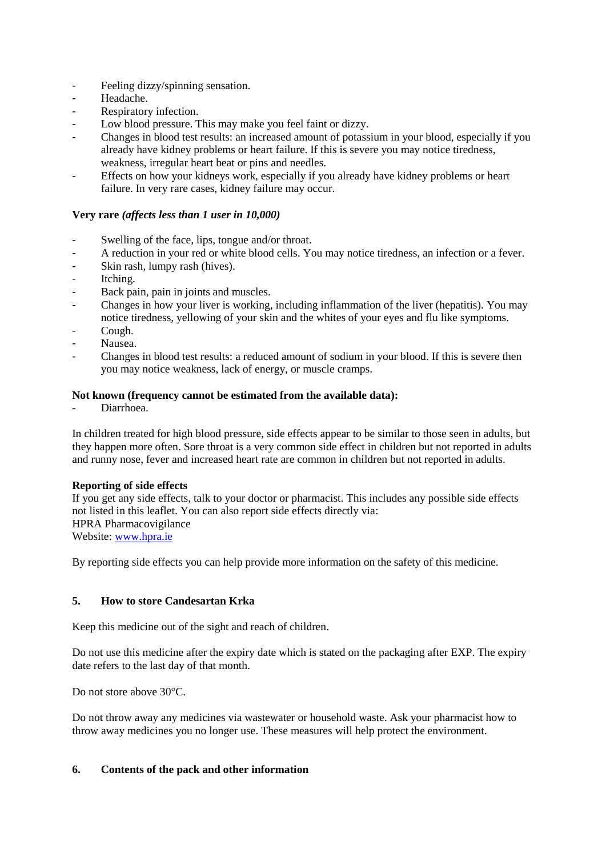- Feeling dizzy/spinning sensation.
- Headache.
- Respiratory infection.
- Low blood pressure. This may make you feel faint or dizzy.
- Changes in blood test results: an increased amount of potassium in your blood, especially if you already have kidney problems or heart failure. If this is severe you may notice tiredness, weakness, irregular heart beat or pins and needles.
- Effects on how your kidneys work, especially if you already have kidney problems or heart failure. In very rare cases, kidney failure may occur.

### **Very rare** *(affects less than 1 user in 10,000)*

- Swelling of the face, lips, tongue and/or throat.
- A reduction in your red or white blood cells. You may notice tiredness, an infection or a fever.
- Skin rash, lumpy rash (hives).
- Itching.
- Back pain, pain in joints and muscles.
- Changes in how your liver is working, including inflammation of the liver (hepatitis). You may notice tiredness, yellowing of your skin and the whites of your eyes and flu like symptoms.
- Cough.
- Nausea.
- Changes in blood test results: a reduced amount of sodium in your blood. If this is severe then you may notice weakness, lack of energy, or muscle cramps.

### **Not known (frequency cannot be estimated from the available data):**

**-** Diarrhoea.

In children treated for high blood pressure, side effects appear to be similar to those seen in adults, but they happen more often. Sore throat is a very common side effect in children but not reported in adults and runny nose, fever and increased heart rate are common in children but not reported in adults.

### **Reporting of side effects**

If you get any side effects, talk to your doctor or pharmacist. This includes any possible side effects not listed in this leaflet. You can also report side effects directly via: HPRA Pharmacovigilance Website[: www.hpra.ie](http://www.hpra.ie/)

By reporting side effects you can help provide more information on the safety of this medicine.

### **5. How to store Candesartan Krka**

Keep this medicine out of the sight and reach of children.

Do not use this medicine after the expiry date which is stated on the packaging after EXP. The expiry date refers to the last day of that month.

Do not store above 30°C.

Do not throw away any medicines via wastewater or household waste. Ask your pharmacist how to throw away medicines you no longer use. These measures will help protect the environment.

### **6. Contents of the pack and other information**